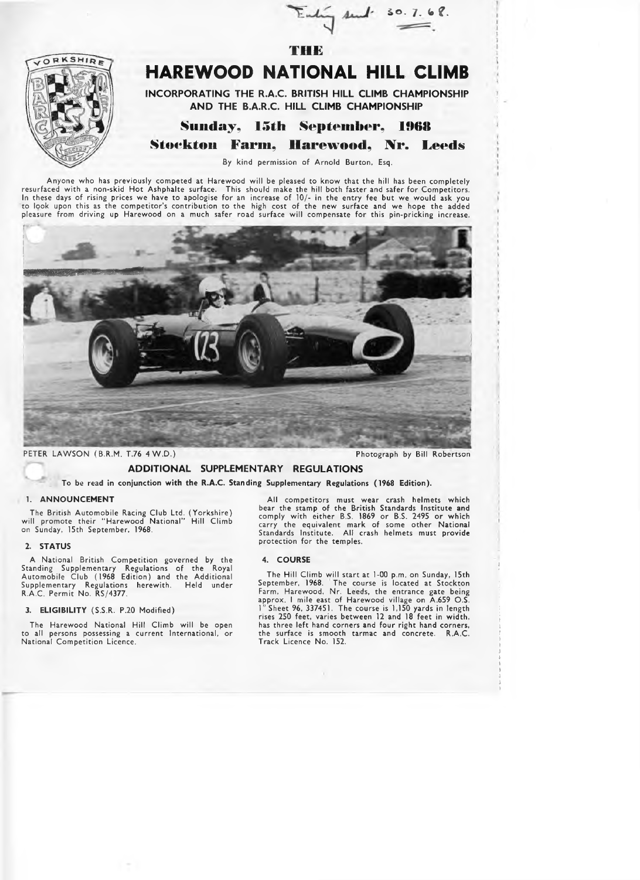

# **HAREWOOD NATIONAL HILL CLIMB**

**THE**

Enling sent.

**INCORPORATING THE R.A.C. BRITISH HILL CLIMB CHAMPIONSHIP A N D THE B.A.R.C. HILL CLIMB CHAMPIONSHIP**

# Sunday, 15th September, 1968

Stockton Farm, Harewood, Nr. Leeds

By kind permission of Arnold Burton, Esq.

Anyone who has previously competed at Harewood w ill be pleased to know that the hill has been completely resurfaced with a non-skid Hot Ashphalte surface. This should make the hill both faster and safer for Competitors.<br>In these days of rising prices we have to apologise for an increase of 10/- in the entry fee but we would a to look upon this as the com petitor's contribution to the high cost of the new surface and we hope the added pleasure from driving up Harewood on a much safer road surface will compensate for this pin-pricking increase.



PETER LAWSON (B.R.M. T.76 4 W.D.) Photograph by Bill Robertson

**5 0 - 7. fc** *t .*

## **ADDITIONAL SUPPLEMENTARY REGULATIONS**

**To be read in conjunction with the R.A.C. Standing Supplementary Regulations (1968 Edition).**

#### 1. ANNOUNCEMENT

The British Autom obile Racing Club Ltd. (Yorkshire) will promote their "Harewood National" Hill Climb<br>on Sunday, 15th September, 1968.

## **2. STATUS**

A National British Competition governed by the<br>Standing Supplementary Regulations of the Royal Autom obile Club (1968 Edition) and the Additional Supplementary Regulations herewith. Held under R.A.C. Permit No. RS/4377.

#### **3. ELIGIBILITY** (S.S.R. P.20 Modified)

The Harewood National Hill Climb will be open to all persons possessing a current International, or National Competition Licence.

All competitors must wear crash helmets which<br>bear the stamp of the British Standards Institute and<br>comply with either B.S. 1869 or B.S. 2495 or which carry the equivalent mark of some other National Standards Institute. All crash helmets must provide<br>protection for the temples.

## **4. COURSE**

The Hill Climb will start at 1-00 p.m. on Sunday, 15th September, 1968. The course is located at Stockton Farm, Harewood, Nr. Leeds, the entrance gate being approx. I mile east of Harewood village on A.659 O.S. 1" Sheet 96, 337451. The course is 1,150 yards in length rises 250 feet, varies between 12 and 18 feet in width, has three left hand corners and four right hand corners, the surface is smooth tarmac and concrete. R.A.C. Track Licence No. 152.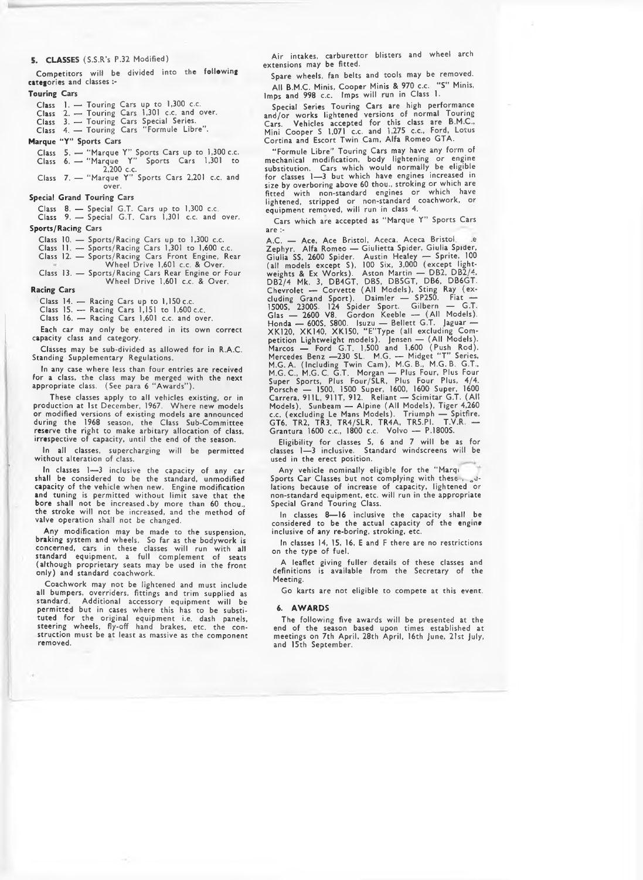#### **5. CLASSES** (S.S.R's P.32 Modified)

Competitors will be divided into the following categories and classes :-

#### **Touring Cars**

- 
- **Class** 1. Touring Cars up to 1,300 c.c. **Class** *2.* Touring Cars 1,301 c.c. and over.
- Class 3. Touring Cars Special Series.
- Class 4. Touring Cars " Formule Libre".
- **Marque "Y" Sports Cars**
- Class 5. " Marque Y" Sports Cars up to 1,300 c.c. Class 6. — " Marque Y" Sports Cars 1,301 to
- 2,200 c.c. Class 7. " Marque Y'' Sports Cars 2,201 c.c. and over.

## **Special Grand Touring Cars**

Class 8. — Special G.T. Cars up to 1,300 c.c. Class 9. — Special G.T. Cars 1,301 c.c. and over.

**Sports/Racing Cars**

- 
- Class 10. Sports/Racing Cars up to 1,300 c.c. Class 11. Sports/Racing Cars 1,301 to 1,600 c.c.
- Class 12. Sports/Racing Cars Front Engine, Rear W heel Drive 1,601 c.c. & Over.
- Class 13. Sports/Racing Cars Rear Engine or Four Wheel Drive 1,601 c.c. & Over.

#### **Racing Cars**

Class 14. — Racing Cars up to 1,150 c.c.

Class 15. — Racing Cars 1,151 to 1,600 c.c.

Class 16. — Racing Cars 1,601 c.c. and over.

Each car may only be entered in its own correct capacity class and category.

Classes may be sub-divided as allowed for in R.A.C. Standing Supplementary Regulations.

In any case where less than four entries are received **for** a class, the class may be merged w ith the next appropriate class. (See para 6 " Awards" ).

These classes apply to all vehicles existing, or in production at 1st December, 1967. W here new models or modified versions of existing models are announced during the 1968 season, the Class Sub-Committee reserve the right to make arbitary allocation of class, irrespective of capacity, until the end of the season.

In all classes, supercharging will be permitted without alteration of class.

In classes 1— 3 inclusive the capacity of any car shall be considered to be the standard, unmodified capacity of the vehicle when new. Engine modification and tuning is permitted without limit save that the bore shall not be increased.by more than 60 thou., the stroke will not be increased, and the method of<br>valve operation shall not be changed.

Any modification may be made to the suspension, braking system and wheels. So far as the bodywork is concerned, cars in these classes will run with all standard equipment, a full complement of seats (although proprietary seats may be used in the front<br>only) and standard coachwork.

Coachwork may not be lightened and must include all bumpers, overriders, fittings and trim supplied as standard. Additional accessory equipment will be perm itted but in cases where this has to be substituted for the original equipment i.e. dash panels, steering wheels, fly-off hand brakes, etc. the construction must be at least as massive as the component removed.

Air intakes, carburettor blisters and wheel arch extensions may be fitted.

Spare wheels, fan belts and tools may be removed. A ll B.M.C. Minis, Cooper Minis *&* 970 c.c. " S" Minis, Imps and 998 c.c. Imps will run in Class 1.

Special Series Touring Cars are high performance and/or works lightened versions of normal Touring Cars. Vehicles accepted for this class are B.M.C.,<br>Mini Cooper S 1,071 c.c. and 1,275 c.c., Ford, Lotus Cortina and Escort Twin Cam, Alfa Romeo GTA.

"Form ule Libre" Touring Cars may have any form of mechanical modification, body lightening or engine substitution. Cars which would normally be eligible for classes 1—3 but which have engines increased in size by overboring above 60 thou., stroking or which are<br>fitted with non-standard engines or which have fitted with non-standard engines or which have<br>lightened, stripped or non-standard coachwork, or equipment removed, w ill run in class 4.

Cars which are accepted as "Marque Y" Sports Cars are :-

A.C. — Ace, Ace Bristol, Aceca, Aceca Bristol. ... .e<br>Zephyr. Alfa Romeo — Giulietta Spider, Giulia Spider, Giulia SS, 2600 Spider. Austin Healey — Sprite, 100 (all models except S), 100 Six, 3,000 (except light-weights & Ex W orks). Aston Martin — DB2, DB2/4, DB2/4 Mk. 3, DB4GT, DB5, DB5GT, DB6, DB6GT.<br>Chevrolet — Corvette (All Models), Sting Ray (ex-<br>cluding Grand Sport). Daimler — SP250. Fiat — 1500S, 2300S. 124 Spider Sport. Gilbern — G.T.<br>Glas — 2600 V8. Gordon Keeble — (All Models).<br>Honda — 600S, S800. Isuzu — Bellett G.T. Jaguar — XK120, XK140, XK150, "E " Type (all excluding Competition Lightweight models). Jensen — (All Models).<br>Marcos — Ford G.T. 1,500 and 1,600 (Push Rod).<br>Mercedes Benz —230 SL. M.G. — Midget "T" Series,<br>M.G. A. (Including Twin Cam), M.G. B., M.G. B. G.T., M.G.C., M.G.C, G.T. Morgan — Plus Four, Plus Four Super Sports, Plus Four/SLR, Plus Four Plus, 4/4. Porsche — 1500, 1500 Super, 1600, 1600 Super, 1600 Carrera, 911L, 911T, 912. Reliant — Scimitar G.T. (All<br>Models). Sunbeam — Alpine (All Models), Tiger 4,260<br>c.c. (excluding Le Mans Models). Triumph — Spitfire, GT6, TR2, TR3, TR4/SLR, TR4A, TR5.PI. T.V.R. — Grantura 1600 c.c., 1800 c.c. Volvo — P.1800S.

Eligibility for classes 5, 6 and 7 will be as for classes 1— 3 inclusive. Standard windscreens w ill be used in the erect position.

Any vehicle nominally eligible for the "Marqi Sports Car Classes but not complying with these  $\frac{1}{6}$  alations because of increase of capacity, lightened or non-standard equipment, etc. w ill run in the appropriate Special Grand Touring Class.

In classes 8— 16 inclusive the capacity shall be considered to be the actual capacity of the engine inclusive of any re-boring, stroking, etc.

In classes 14, 15, 16, E and F there are no restrictions on the type of fuel.

A leaflet giving fuller details of these classes and definitions is available from the Secretary of the Meeting.

Go karts are not eligible to compete at this event.

#### **6. AV/ARDS**

The following five awards will be presented at the end of the season based upon times established at meetings on 7th April, 28th April, 16th June, 21st July, and 15th September.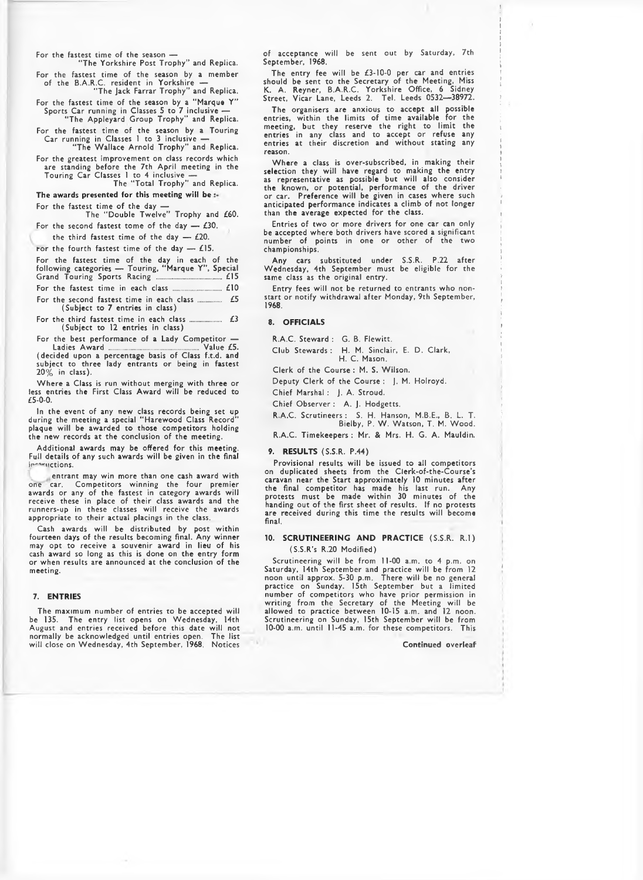For the fastest time of the season —<br>The Yorkshire Post Trophy" and Replica.

For the fastest time of the season by a member of the B.A.R.C. resident in Yorkshire — "The Jack Farrar Trophy" and Replica.

For the fastest time of the season by a "Marque Y"<br>Sports Car running in Classes 5 to 7 inclusive —<br>Fhe Appleyard Group Trophy" and Replica.

For the fastest time of the season by a Touring

Car running in Classes 1 to 3 inclusive — " The Wallace Arnold Trophy" and Replica. For the greatest improvement on class records which

are standing before the 7th April meeting in the Touring Car Classes 1 to 4 inclusive — The " Total Trophy" and Replica.

## The awards presented for this meeting will be  $:$ For the fastest time of the day -

The "Double Twelve" Trophy and £60. For the second fastest tome of the day  $-$  £30.

the third fastest time of the day  $-$  £20.

For the fourth fastest time of the day  $-$  £15.

|  | For the fastest time of the day in each of the      |  |  |  |  |
|--|-----------------------------------------------------|--|--|--|--|
|  | following categories - Touring, "Marque Y", Special |  |  |  |  |
|  |                                                     |  |  |  |  |

For the fastest tim e in each class ........................ £10

For the second fastest tim e in each class ............ £5 (Subject to 7 entries in class)

For the third fastest tim e in each class ................ £3 (Subject to 12 entries in class)

For the best performance of a Lady C om petitor — Ladies Award ............................................. Value £5. (decided upon a percentage basis of Class f.t.d. and subject to three lady entrants or being in fastest  $20\%$  in class).

Where a Class is run without merging with three or less entries the First Class Award will be reduced to £5-0-0.

In the event of any new class records being set up during the meeting a special " Harewood Class Record" plaque will be awarded to those competitors holding the new records at the conclusion of the meeting.

Additional awards may be offered for this meeting. Full details of any such awards will be given in the final in witctions.

entrant may win more than one cash award with one car. Competitors winning the four premier awards or any of the fastest in category awards will receive these in place of their class awards and the<br>runners-up in these classes will receive the awards appropriate to their actual placings in the class.

Cash awards w ill be distributed by post w ithin fourteen days of the results becoming final. Any winner may opt to receive a souvenir award in lieu of his cash award so long as this is done on the entry form or when results are announced at the conclusion of the meeting.

## 7. ENTRIES

The maximum number of entries to be accepted will be 135. The entry list opens on Wednesday, 14th August and entries received before this date will not<br>normally be acknowledged until entries open. The list w ill close on Wednesday, 4th September, 1968. Notices

of acceptance will be sent out by Saturday, 7th September, 1968.

The entry fee will be  $£3-10-0$  per car and entries should be sent to the Secretary of the Meeting, Miss K. A. Reyner, B.A.R.C. Yorkshire Office, 6 Sidney Street, Vicar Lane, Leeds 2. Tel. Leeds 0532—38972.

The organisers are anxious to accept all possible<br>entries, within the limits of time available for the meeting, but they reserve the right to limit the entries in any class and to accept or refuse any entries at their discretion and without stating any reason.

Where a class is over-subscribed, in making their selection they will have regard to making the entry<br>as representative as possible but will also consider the known, or potential, performance of the driver or car. Preference will be given in cases where such anticipated performance indicates a climb of not longer than the average expected for the class.

Entries of two or more drivers for one car can only be accepted where both drivers have scored a significant number of points in one or other of the two championships.

Any cars substituted under S.S.R. P.22 after Wednesday, 4th September must be eligible for the same class as the original entry.

Entry fees will not be returned to entrants who nonstart or notify withdrawal after Monday, 9th September, 1968.

#### 8. OFFICIALS

R.A.C. Steward ; G. B. Flewitt.

Club Stewards : H. M. Sinclair, E. D. Clark, H. C. Mason.

Clerk of the Course: M. S. Wilson.

Deputy Clerk of the Course : J. M. Holroyd.

Chief Marshal : J. A. Stroud.

Chief Observer : A. J. Hodgetts.

R.A.C. Scrutineers : S. H. Hanson, M.B.E., B. L. T. Bielby, P. W. Watson, T. M. Wood.

R.A.C. Timekeepers : Mr. & Mrs. H. G. A. Mauldin.

#### 9. RESULTS (S.S.R. P.44)

Provisional results will be issued to all competitors on duplicated sheets from the Clerk-of-the-Course's caravan near the Start approximately 10 minutes after the final com petitor has made his last run. Any protests must be made w ithin 30 minutes of the handing out of the first sheet of results. If no protests are received during this time the results will become final.

## 10. SCRUTINEERING AND PRACTICE (S.S.R. R.I) (S.S.R's R.20 Modified)

Scrutineering w ill be from 11-00 a.m. to 4 p.m. on Saturday, 14th September and practice w ill be from 12 noon until approx. 5-30 p.m. There will be no general<br>practice on Sunday. 15th September but a limited number of competitors who have prior permission in writing from the Secretary of the Meeting will be allowed to practice between 10-15 a.m. and 12 noon. Scrutineering on Sunday, 15th September w ill be from 10-00 a.m. until 11-45 a.m. for these competitors. This

Continued overleaf